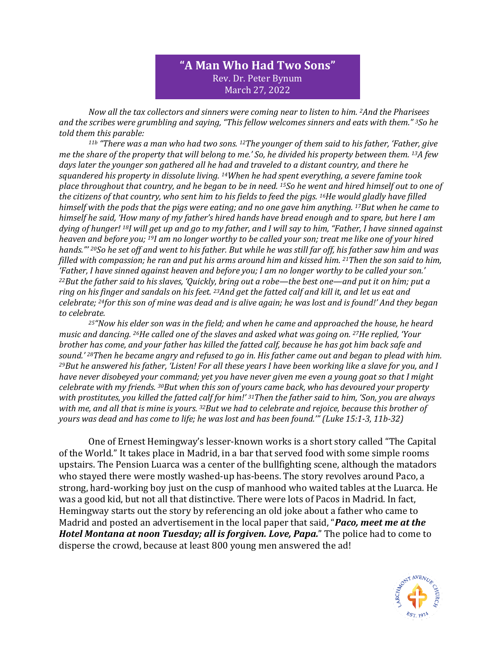## **"A Man Who Had Two Sons"** Rev. Dr. Peter Bynum March 27, 2022

*Now all the tax collectors and sinners were coming near to listen to him. 2And the Pharisees and the scribes were grumbling and saying, "This fellow welcomes sinners and eats with them." 3So he told them this parable:* 

*11b "There was a man who had two sons. 12The younger of them said to his father, 'Father, give me the share of the property that will belong to me.' So, he divided his property between them. 13A few days later the younger son gathered all he had and traveled to a distant country, and there he squandered his property in dissolute living. 14When he had spent everything, a severe famine took place throughout that country, and he began to be in need. 15So he went and hired himself out to one of the citizens of that country, who sent him to his fields to feed the pigs. 16He would gladly have filled himself with the pods that the pigs were eating; and no one gave him anything. 17But when he came to himself he said, 'How many of my father's hired hands have bread enough and to spare, but here I am dying of hunger! 18I will get up and go to my father, and I will say to him, "Father, I have sinned against heaven and before you; 19I am no longer worthy to be called your son; treat me like one of your hired hands."' 20So he set off and went to his father. But while he was still far off, his father saw him and was filled with compassion; he ran and put his arms around him and kissed him. 21Then the son said to him, 'Father, I have sinned against heaven and before you; I am no longer worthy to be called your son.' <sup>22</sup>But the father said to his slaves, 'Quickly, bring out a robe—the best one—and put it on him; put a ring on his finger and sandals on his feet. 23And get the fatted calf and kill it, and let us eat and celebrate; 24for this son of mine was dead and is alive again; he was lost and is found!' And they began to celebrate.* 

*<sup>25</sup>"Now his elder son was in the field; and when he came and approached the house, he heard music and dancing. 26He called one of the slaves and asked what was going on. 27He replied, 'Your brother has come, and your father has killed the fatted calf, because he has got him back safe and sound.' 28Then he became angry and refused to go in. His father came out and began to plead with him. <sup>29</sup>But he answered his father, 'Listen! For all these years I have been working like a slave for you, and I have never disobeyed your command; yet you have never given me even a young goat so that I might celebrate with my friends. 30But when this son of yours came back, who has devoured your property with prostitutes, you killed the fatted calf for him!' 31Then the father said to him, 'Son, you are always with me, and all that is mine is yours. 32But we had to celebrate and rejoice, because this brother of yours was dead and has come to life; he was lost and has been found.'" (Luke 15:1-3, 11b-32)*

One of Ernest Hemingway's lesser-known works is a short story called "The Capital of the World." It takes place in Madrid, in a bar that served food with some simple rooms upstairs. The Pension Luarca was a center of the bullfighting scene, although the matadors who stayed there were mostly washed-up has-beens. The story revolves around Paco, a strong, hard-working boy just on the cusp of manhood who waited tables at the Luarca. He was a good kid, but not all that distinctive. There were lots of Pacos in Madrid. In fact, Hemingway starts out the story by referencing an old joke about a father who came to Madrid and posted an advertisement in the local paper that said, "*Paco, meet me at the Hotel Montana at noon Tuesday; all is forgiven. Love, Papa.*" The police had to come to disperse the crowd, because at least 800 young men answered the ad!

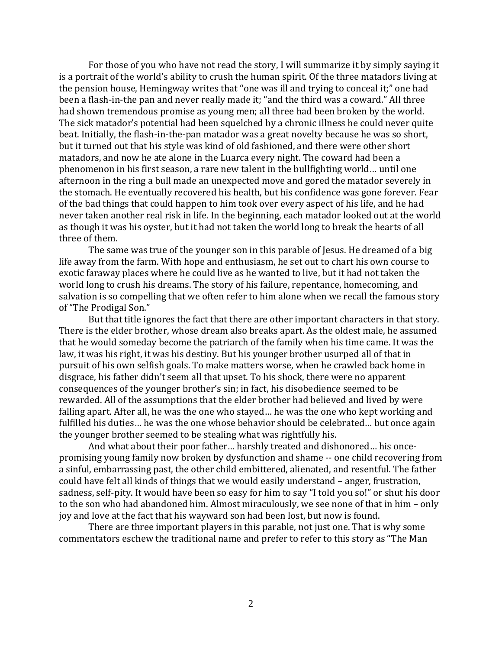For those of you who have not read the story, I will summarize it by simply saying it is a portrait of the world's ability to crush the human spirit. Of the three matadors living at the pension house, Hemingway writes that "one was ill and trying to conceal it;" one had been a flash-in-the pan and never really made it; "and the third was a coward." All three had shown tremendous promise as young men; all three had been broken by the world. The sick matador's potential had been squelched by a chronic illness he could never quite beat. Initially, the flash-in-the-pan matador was a great novelty because he was so short, but it turned out that his style was kind of old fashioned, and there were other short matadors, and now he ate alone in the Luarca every night. The coward had been a phenomenon in his first season, a rare new talent in the bullfighting world… until one afternoon in the ring a bull made an unexpected move and gored the matador severely in the stomach. He eventually recovered his health, but his confidence was gone forever. Fear of the bad things that could happen to him took over every aspect of his life, and he had never taken another real risk in life. In the beginning, each matador looked out at the world as though it was his oyster, but it had not taken the world long to break the hearts of all three of them.

The same was true of the younger son in this parable of Jesus. He dreamed of a big life away from the farm. With hope and enthusiasm, he set out to chart his own course to exotic faraway places where he could live as he wanted to live, but it had not taken the world long to crush his dreams. The story of his failure, repentance, homecoming, and salvation is so compelling that we often refer to him alone when we recall the famous story of "The Prodigal Son."

But that title ignores the fact that there are other important characters in that story. There is the elder brother, whose dream also breaks apart. As the oldest male, he assumed that he would someday become the patriarch of the family when his time came. It was the law, it was his right, it was his destiny. But his younger brother usurped all of that in pursuit of his own selfish goals. To make matters worse, when he crawled back home in disgrace, his father didn't seem all that upset. To his shock, there were no apparent consequences of the younger brother's sin; in fact, his disobedience seemed to be rewarded. All of the assumptions that the elder brother had believed and lived by were falling apart. After all, he was the one who stayed… he was the one who kept working and fulfilled his duties… he was the one whose behavior should be celebrated… but once again the younger brother seemed to be stealing what was rightfully his.

And what about their poor father… harshly treated and dishonored… his oncepromising young family now broken by dysfunction and shame -- one child recovering from a sinful, embarrassing past, the other child embittered, alienated, and resentful. The father could have felt all kinds of things that we would easily understand – anger, frustration, sadness, self-pity. It would have been so easy for him to say "I told you so!" or shut his door to the son who had abandoned him. Almost miraculously, we see none of that in him – only joy and love at the fact that his wayward son had been lost, but now is found.

There are three important players in this parable, not just one. That is why some commentators eschew the traditional name and prefer to refer to this story as "The Man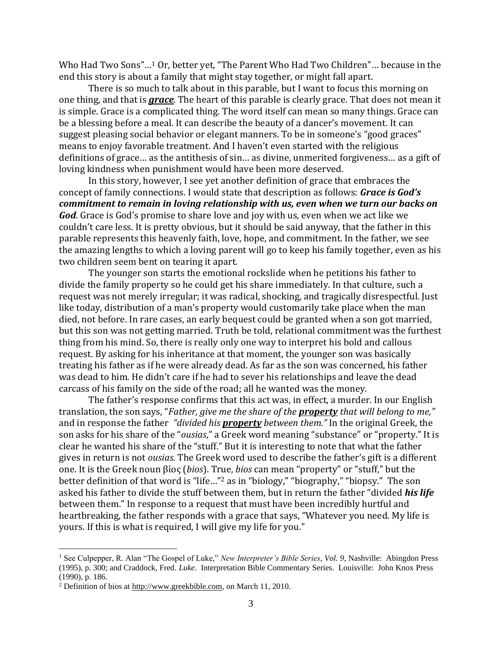Who Had Two Sons"…<sup>1</sup> Or, better yet, "The Parent Who Had Two Children"… because in the end this story is about a family that might stay together, or might fall apart.

There is so much to talk about in this parable, but I want to focus this morning on one thing, and that is *grace*. The heart of this parable is clearly grace. That does not mean it is simple. Grace is a complicated thing. The word itself can mean so many things. Grace can be a blessing before a meal. It can describe the beauty of a dancer's movement. It can suggest pleasing social behavior or elegant manners. To be in someone's "good graces" means to enjoy favorable treatment. And I haven't even started with the religious definitions of grace… as the antithesis of sin… as divine, unmerited forgiveness… as a gift of loving kindness when punishment would have been more deserved.

In this story, however, I see yet another definition of grace that embraces the concept of family connections. I would state that description as follows: *Grace is God's commitment to remain in loving relationship with us, even when we turn our backs on God*. Grace is God's promise to share love and joy with us, even when we act like we couldn't care less. It is pretty obvious, but it should be said anyway, that the father in this parable represents this heavenly faith, love, hope, and commitment. In the father, we see the amazing lengths to which a loving parent will go to keep his family together, even as his two children seem bent on tearing it apart.

The younger son starts the emotional rockslide when he petitions his father to divide the family property so he could get his share immediately. In that culture, such a request was not merely irregular; it was radical, shocking, and tragically disrespectful. Just like today, distribution of a man's property would customarily take place when the man died, not before. In rare cases, an early bequest could be granted when a son got married, but this son was not getting married. Truth be told, relational commitment was the furthest thing from his mind. So, there is really only one way to interpret his bold and callous request. By asking for his inheritance at that moment, the younger son was basically treating his father as if he were already dead. As far as the son was concerned, his father was dead to him. He didn't care if he had to sever his relationships and leave the dead carcass of his family on the side of the road; all he wanted was the money.

The father's response confirms that this act was, in effect, a murder. In our English translation, the son says, "*Father, give me the share of the property that will belong to me,"* and in response the father *"divided his property between them."* In the original Greek, the son asks for his share of the "*ousias*," a Greek word meaning "substance" or "property." It is clear he wanted his share of the "stuff." But it is interesting to note that what the father gives in return is not *ousias*. The Greek word used to describe the father's gift is a different one. It is the Greek noun βίος (*bios*). True, *bios* can mean "property" or "stuff," but the better definition of that word is "life…" <sup>2</sup> as in "biology," "biography," "biopsy." The son asked his father to divide the stuff between them, but in return the father "divided *his life* between them." In response to a request that must have been incredibly hurtful and heartbreaking, the father responds with a grace that says, "Whatever you need. My life is yours. If this is what is required, I will give my life for you."

<sup>&</sup>lt;sup>1</sup> See Culpepper, R. Alan "The Gospel of Luke," *New Interpreter's Bible Series, Vol. 9*, Nashville: Abingdon Press (1995), p. 300; and Craddock, Fred. *Luke*. Interpretation Bible Commentary Series. Louisville: John Knox Press (1990), p. 186.

<sup>2</sup> Definition of bios at [http://www.greekbible.com,](http://www.greekbible.com/) on March 11, 2010.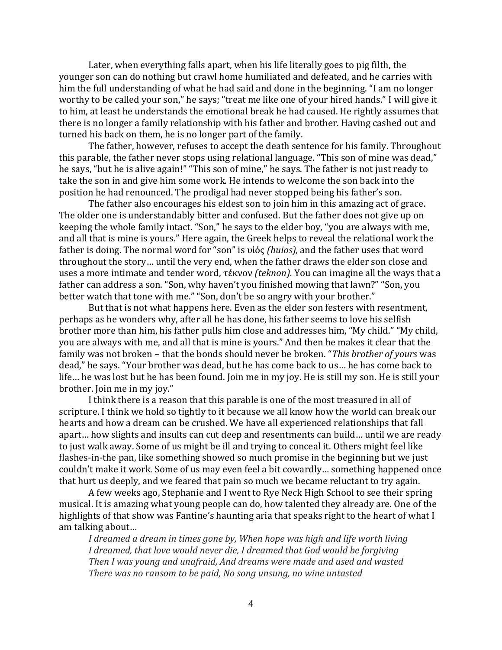Later, when everything falls apart, when his life literally goes to pig filth, the younger son can do nothing but crawl home humiliated and defeated, and he carries with him the full understanding of what he had said and done in the beginning. "I am no longer worthy to be called your son," he says; "treat me like one of your hired hands." I will give it to him, at least he understands the emotional break he had caused. He rightly assumes that there is no longer a family relationship with his father and brother. Having cashed out and turned his back on them, he is no longer part of the family.

The father, however, refuses to accept the death sentence for his family. Throughout this parable, the father never stops using relational language. "This son of mine was dead," he says, "but he is alive again!" "This son of mine," he says. The father is not just ready to take the son in and give him some work. He intends to welcome the son back into the position he had renounced. The prodigal had never stopped being his father's son.

The father also encourages his eldest son to join him in this amazing act of grace. The older one is understandably bitter and confused. But the father does not give up on keeping the whole family intact. "Son," he says to the elder boy, "you are always with me, and all that is mine is yours." Here again, the Greek helps to reveal the relational work the father is doing. The normal word for "son" is υἱός *(huios),* and the father uses that word throughout the story… until the very end, when the father draws the elder son close and uses a more intimate and tender word, τέκνον *(teknon).* You can imagine all the ways that a father can address a son. "Son, why haven't you finished mowing that lawn?" "Son, you better watch that tone with me." "Son, don't be so angry with your brother."

But that is not what happens here. Even as the elder son festers with resentment, perhaps as he wonders why, after all he has done, his father seems to love his selfish brother more than him, his father pulls him close and addresses him, "My child." "My child, you are always with me, and all that is mine is yours." And then he makes it clear that the family was not broken – that the bonds should never be broken. "*This brother of yours* was dead," he says. "Your brother was dead, but he has come back to us… he has come back to life… he was lost but he has been found. Join me in my joy. He is still my son. He is still your brother. Join me in my joy."

I think there is a reason that this parable is one of the most treasured in all of scripture. I think we hold so tightly to it because we all know how the world can break our hearts and how a dream can be crushed. We have all experienced relationships that fall apart… how slights and insults can cut deep and resentments can build… until we are ready to just walk away. Some of us might be ill and trying to conceal it. Others might feel like flashes-in-the pan, like something showed so much promise in the beginning but we just couldn't make it work. Some of us may even feel a bit cowardly… something happened once that hurt us deeply, and we feared that pain so much we became reluctant to try again.

A few weeks ago, Stephanie and I went to Rye Neck High School to see their spring musical. It is amazing what young people can do, how talented they already are. One of the highlights of that show was Fantine's haunting aria that speaks right to the heart of what I am talking about…

*I dreamed a dream in times gone by, When hope was high and life worth living I dreamed, that love would never die, I dreamed that God would be forgiving Then I was young and unafraid, And dreams were made and used and wasted There was no ransom to be paid, No song unsung, no wine untasted*